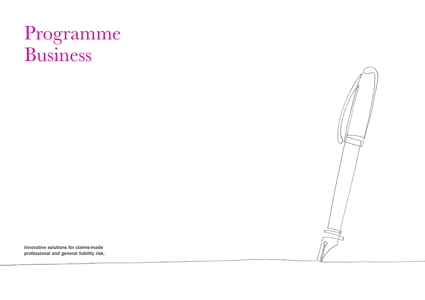# Programme Business

Innovative solutions for claims-made professional and general liability risk.